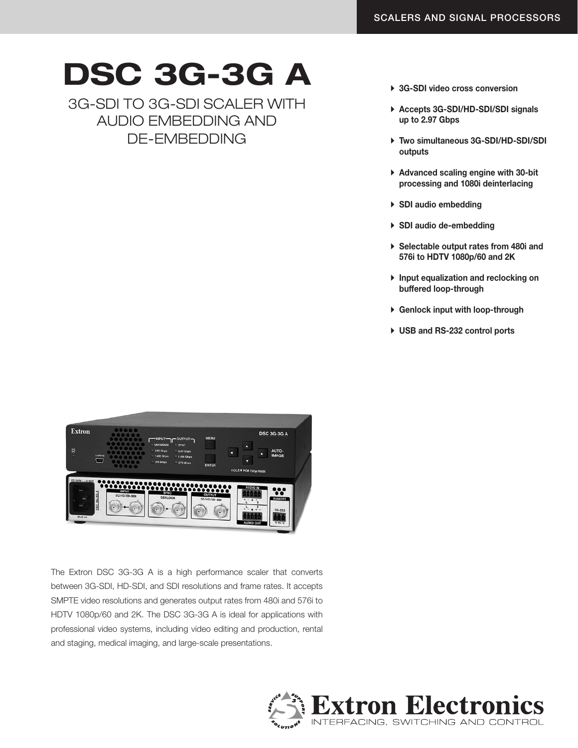## DSC 3G-3G A

3G-SDI TO 3G-SDI SCALER WITH AUDIO EMBEDDING AND DE-EMBEDDING

- ▶ 3G-SDI video cross conversion
- ▶ Accepts 3G-SDI/HD-SDI/SDI signals up to 2.97 Gbps
- ▶ Two simultaneous 3G-SDI/HD-SDI/SDI outputs
- $\triangleright$  Advanced scaling engine with 30-bit processing and 1080i deinterlacing
- $\triangleright$  SDI audio embedding
- $\triangleright$  SDI audio de-embedding
- A Selectable output rates from 480i and 576i to HDTV 1080p/60 and 2K
- A Input equalization and reclocking on buffered loop-through
- $\triangleright$  Genlock input with loop-through
- ▶ USB and RS-232 control ports



The Extron DSC 3G-3G A is a high performance scaler that converts between 3G-SDI, HD-SDI, and SDI resolutions and frame rates. It accepts SMPTE video resolutions and generates output rates from 480i and 576i to HDTV 1080p/60 and 2K. The DSC 3G-3G A is ideal for applications with professional video systems, including video editing and production, rental and staging, medical imaging, and large-scale presentations.